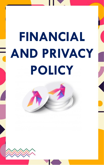# **FINANCIAL AND PRIVACY POLICY**

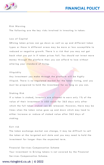

# **FINANCIAL POLICY**

Risk Warning

The following are the key risks involved in investing in token:

#### Loss of Capital

\$ Rising token prices can go down as well as up and different token types or those in different areas may be more or less susceptible to reduced or negative growth. There is a risk that you may not get back what you put in if token prices fall. You should not invest more money through the platform than you can afford to lose without altering your standard of living.

#### Illiquidity

Any investment you make through the platform will be highly illiquid. There is no regulated market for the token listing, and you must be prepared to hold the investment for as long as you can.

#### Staking Risk

If a token is staked, investors are allowed to earn only 1% of the value of their investment in USD value for 365 days only after which the full token staked can be released. However, there may be times when the token value goes up and down which may lead to either increase or reduce of staked value after 365 days of s t a ki ng.

#### Exit risk

The token exchange market can change, it may be difficult to sell the token at the targeted exit date and you may need to hold the investment for longer than the expected term.

Financial Services Compensation Scheme Your investment in \$rising tokens is not covered by the Financial Services Compensation Scheme.

### www.risingbird.co.uk  $\vert$  © 2022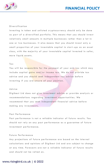

#### Diversification

Investing in token and unlisted cryptocurrency should only be done as part of a diversified portfolio. This means that you should invest relatively small amounts in multiple businesses rather than a lot in one or two businesses. It also means that you should invest only a small proportion of your investable capital in start-ups as an asset class, with the majority of your investable capital invested in safer, more liquid assets.

#### Ta x

You will be responsible for the payment of your own tax which may include capital gains and/or income tax. We do not provide tax advice and you should seek independent tax advice before investing if you are unsure of your position.

#### A d vi ce

Digibest Ltd does not give investment advice or provide analysis or recommendations regarding investment opportunities. We recommend that you seek independent financial advice before making any investments.

#### Past Performance

Past performance is not a reliable indicator of future results. You should not rely on any past performance as a guarantee of future investment performance.

#### Future Performance

Any projections of future performance are based on the internal calculations and opinions of Digibest Ltd and are subject to change at any time. Forecasts are not a reliable indicator of future results and should not be relied on.

# www.risingbird.co.uk  $\vert \otimes$  2022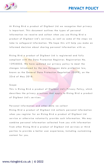



At Rising Bird a product of Digibest Ltd we recognise that privacy is important. This document outlines the types of personal information we receive and collect when you use Rising Bird a product of Digibest Ltd's services, as well as some of the steps we take to safeguard information. We hope this will help you make an informed decision about sharing personal information with us.

Rising Bird a product of Digibest Ltd is registered and fully compliant with the Data Protection Registrar. Registration No. 13935032. We have updated our privacy policy to meet the changes introduced by the new European data protection law, known as the General Data Protection Requlation (GDPR), on the 23rd of May 2018.

#### S co p e

This is Rising Bird a product of Digibest Ltd's Privacy Policy, which describes the privacy practices that apply to Rising Bird a product of Digibest Ltd's services.

Personal information and other data we collect Rising Bird a product of Digibest Ltd collects personal information when you register for an Rising Bird a product of Digibest Ltd service or otherwise voluntarily provide such information. We may combine personal information collected from you with information from other Rising Bird a product of Digibest Ltd services or third parties to provide a better user experience, including customising content for you.

# www.risingbird.co.uk  $\vert$  © 2022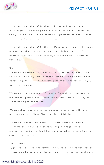



Rising Bird a product of Digibest Ltd uses cookies and other technologies to enhance your online experience and to learn about how you use Rising Bird a product of Digibest Ltd services in order to improve the quality of our services.

Rising Bird a product of Digibest Ltd's servers automatically record information when you visit our website including the URL, IP address, browser type and language, and the date and time of your request.

#### Use

We may use personal information to provide the services you've requested, including services that display customised content and advertising. We will send marketing information to you unless you ask us not to do so.

We may also use personal information for auditing, research and analysis to operate and improve Rising Bird a product of Digibest Ltd technologies and services.

We may share aggregated non-personal information with third parties outside of Rising Bird a product of Digibest Ltd.

We may also share information with third parties in limited circumstances, including when complying with legal process, preventing fraud or imminent harm, and ensuring the security of our network and services.

#### Your Choices

By joining the Rising Bird community you agree to give your consent to Rising Bird a product of Digibest Ltd to hold your personal data.

# www.risingbird.co.uk | © 2022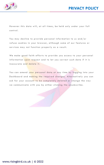

However this data will, at all times, be held only under your full co nt ro l .

You may decline to provide personal information to us and/or refuse cookies in your browser, although some of our features or services may not function properly as a result.

We make good faith efforts to provide you access to your personal information upon request and to let you correct such data if it is inaccurate and delete it.

You can amend your personal data at any time by logging into your Dashboard and making the required changes. Alternatively you can ask for your account to be completely deleted or change the way we communicate with you by either clicking the unsubscribe.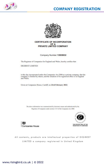



# **CERTIFICATE OF INCORPORATION** OF A PRIVATE LIMITED COMPANY

Company Number 13935032

The Registrar of Companies for England and Wales, hereby certifies that

**DIGIBEST LIMITED** 

is this day incorporated under the Companies Act 2006 as a private company, that the company is limited by shares, and the situation of its registered office is in England and Wales.

Given at Companies House, Cardiff, on 23rd February 2022.

The above information was communicated by electronic means and authenticated by the Registrar of Companies under section 1115 of the Companies Act 2006





All contents, products are intellectual properties of DIGIBEST LIMITED a company registered in United Kingdom

www.risingbird.co.uk | © 2022